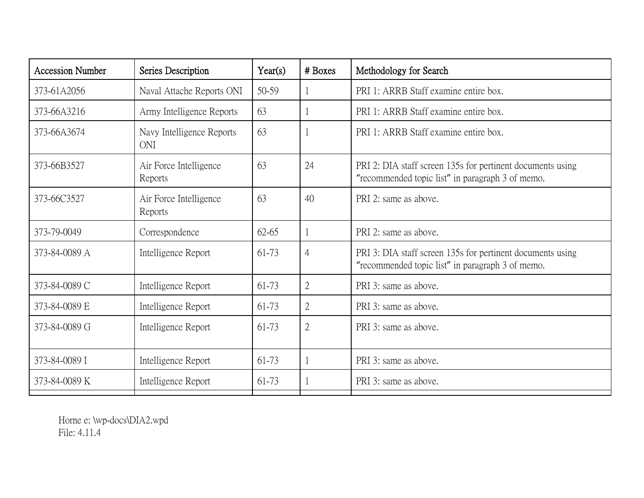| <b>Accession Number</b> | Series Description                      | Year(s)   | # Boxes        | Methodology for Search                                                                                         |
|-------------------------|-----------------------------------------|-----------|----------------|----------------------------------------------------------------------------------------------------------------|
| 373-61A2056             | Naval Attache Reports ONI               | 50-59     | $\mathbf{1}$   | PRI 1: ARRB Staff examine entire box.                                                                          |
| 373-66A3216             | Army Intelligence Reports               | 63        | $\mathbf{1}$   | PRI 1: ARRB Staff examine entire box.                                                                          |
| 373-66A3674             | Navy Intelligence Reports<br><b>ONI</b> | 63        | $\mathbf{1}$   | PRI 1: ARRB Staff examine entire box.                                                                          |
| 373-66B3527             | Air Force Intelligence<br>Reports       | 63        | 24             | PRI 2: DIA staff screen 135s for pertinent documents using<br>"recommended topic list" in paragraph 3 of memo. |
| 373-66C3527             | Air Force Intelligence<br>Reports       | 63        | 40             | PRI 2: same as above.                                                                                          |
| 373-79-0049             | Correspondence                          | $62 - 65$ | $\mathbf{1}$   | PRI 2: same as above.                                                                                          |
| 373-84-0089 A           | Intelligence Report                     | 61-73     | $\overline{4}$ | PRI 3: DIA staff screen 135s for pertinent documents using<br>"recommended topic list" in paragraph 3 of memo. |
| 373-84-0089 C           | Intelligence Report                     | 61-73     | 2              | PRI 3: same as above.                                                                                          |
| 373-84-0089 E           | Intelligence Report                     | 61-73     | $\overline{2}$ | PRI 3: same as above.                                                                                          |
| 373-84-0089 G           | Intelligence Report                     | 61-73     | $\overline{2}$ | PRI 3: same as above.                                                                                          |
| 373-84-0089 I           | Intelligence Report                     | 61-73     | $\mathbf{1}$   | PRI 3: same as above.                                                                                          |
| 373-84-0089 K           | Intelligence Report                     | 61-73     | 1              | PRI 3: same as above.                                                                                          |

Horne e: \wp-docs\DIA2.wpd File: 4.11.4